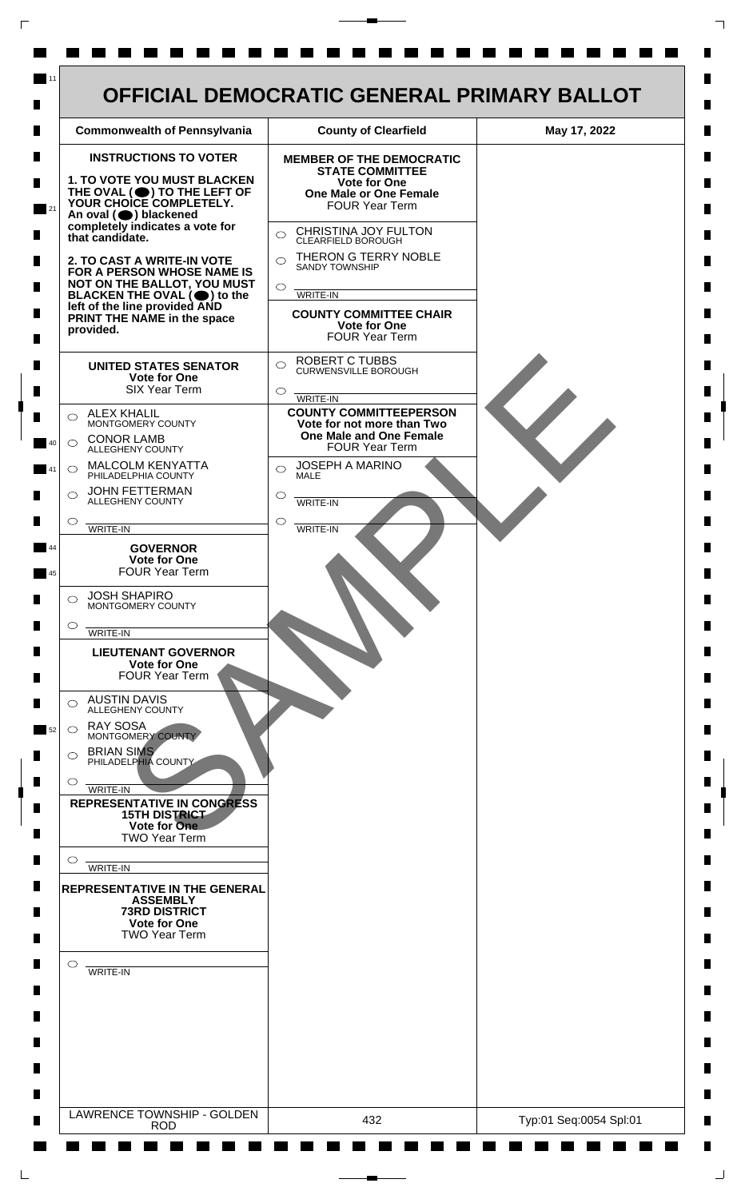